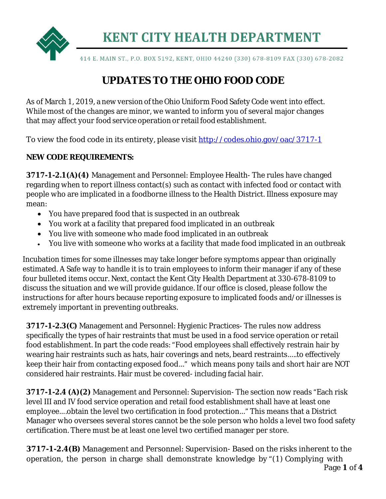

**KENT CITY HEALTH DEPARTMENT** 

414 E. MAIN ST., P.O. BOX 5192, KENT, OHIO 44240 (330) 678-8109 FAX (330) 678-2082

## **UPDATES TO THE OHIO FOOD CODE**

As of March 1, 2019, a new version of the Ohio Uniform Food Safety Code went into effect. While most of the changes are minor, we wanted to inform you of several major changes that may affect your food service operation or retail food establishment.

To view the food code in its entirety, please visit<http://codes.ohio.gov/oac/3717-1>

## **NEW CODE REQUIREMENTS:**

**3717-1-2.1(A)(4)** Management and Personnel: Employee Health- The rules have changed regarding when to report illness contact(s) such as contact with infected food or contact with people who are implicated in a foodborne illness to the Health District. Illness exposure may mean:

- You have prepared food that is suspected in an outbreak
- You work at a facility that prepared food implicated in an outbreak
- You live with someone who made food implicated in an outbreak
- You live with someone who works at a facility that made food implicated in an outbreak

Incubation times for some illnesses may take longer before symptoms appear than originally estimated. A Safe way to handle it is to train employees to inform their manager if any of these four bulleted items occur. Next, contact the Kent City Health Department at 330-678-8109 to discuss the situation and we will provide guidance. If our office is closed, please follow the instructions for after hours because reporting exposure to implicated foods and/or illnesses is extremely important in preventing outbreaks.

**3717-1-2.3(C)** Management and Personnel: Hygienic Practices- The rules now address specifically the types of hair restraints that must be used in a food service operation or retail food establishment. In part the code reads: "Food employees shall effectively restrain hair by wearing hair restraints such as hats, hair coverings and nets, beard restraints…..to effectively keep their hair from contacting exposed food…" which means pony tails and short hair are NOT considered hair restraints. Hair must be covered- including facial hair.

**3717-1-2.4 (A)(2)** Management and Personnel: Supervision- The section now reads "Each risk level III and IV food service operation and retail food establishment shall have at least one employee….obtain the level two certification in food protection…" This means that a District Manager who oversees several stores cannot be the sole person who holds a level two food safety certification. There must be at least one level two certified manager per store.

**3717-1-2.4(B)** Management and Personnel: Supervision- Based on the risks inherent to the operation, the person in charge shall demonstrate knowledge by "(1) Complying with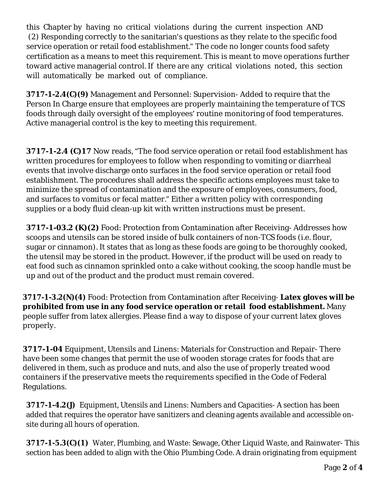this Chapter by having no critical violations during the current inspection AND (2) Responding correctly to the sanitarian's questions as they relate to the specific food service operation or retail food establishment." The code no longer counts food safety certification as a means to meet this requirement. This is meant to move operations further toward active managerial control. If there are any critical violations noted, this section will automatically be marked out of compliance.

**3717-1-2.4(C)(9)** Management and Personnel: Supervision- Added to require that the Person In Charge ensure that employees are properly maintaining the temperature of TCS foods through daily oversight of the employees' routine monitoring of food temperatures. Active managerial control is the key to meeting this requirement.

**3717-1-2.4 (C)17** Now reads, "The food service operation or retail food establishment has written procedures for employees to follow when responding to vomiting or diarrheal events that involve discharge onto surfaces in the food service operation or retail food establishment. The procedures shall address the specific actions employees must take to minimize the spread of contamination and the exposure of employees, consumers, food, and surfaces to vomitus or fecal matter." Either a written policy with corresponding supplies or a body fluid clean-up kit with written instructions must be present.

**3717-1-03.2 (K)(2)** Food: Protection from Contamination after Receiving-Addresses how scoops and utensils can be stored inside of bulk containers of non-TCS foods (i.e. flour, sugar or cinnamon). It states that as long as these foods are going to be thoroughly cooked, the utensil may be stored in the product. However, if the product will be used on ready to eat food such as cinnamon sprinkled onto a cake without cooking, the scoop handle must be up and out of the product and the product must remain covered.

**[3717-1-3.2\(N\)\(4\)](http://codes.ohio.gov/oac/3717-1)** Food: Protection from Contamination after Receiving- **Latex gloves will be prohibited from use in any food service operation or retail food establishment.** Many people suffer from latex allergies. Please find a way to dispose of your current latex gloves properly.

**3717-1-04** Equipment, Utensils and Linens: Materials for Construction and Repair- There have been some changes that permit the use of wooden storage crates for foods that are delivered in them, such as produce and nuts, and also the use of properly treated wood containers if the preservative meets the requirements specified in the Code of Federal Regulations.

**[3717-1-4.2\(J\)](http://codes.ohio.gov/oac/3717-1)** Equipment, Utensils and Linens: Numbers and Capacities- A section has been added that requires the operator have sanitizers and cleaning agents available and accessible onsite during all hours of operation.

**[3717-1-5.3\(C\)\(1\)](http://codes.ohio.gov/oac/3717-1)** Water, Plumbing, and Waste: Sewage, Other Liquid Waste, and Rainwater- This section has been added to align with the Ohio Plumbing Code. A drain originating from equipment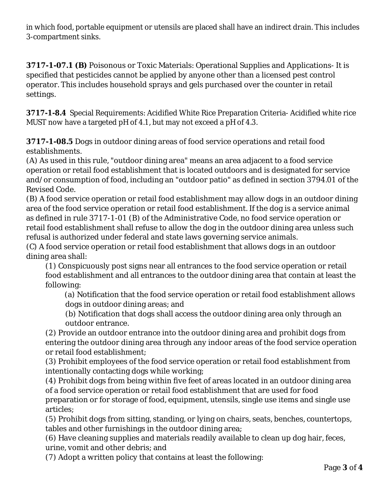in which food, portable equipment or utensils are placed shall have an indirect drain. This includes 3-compartment sinks.

**3717-1-07.1 (B)** Poisonous or Toxic Materials: Operational Supplies and Applications- It is specified that pesticides cannot be applied by anyone other than a licensed pest control operator. This includes household sprays and gels purchased over the counter in retail settings.

**[3717-1-8.4](http://codes.ohio.gov/oac/3717-1)** Special Requirements: Acidified White Rice Preparation Criteria- Acidified white rice MUST now have a targeted pH of 4.1, but may not exceed a pH of 4.3.

**3717-1-08.5** Dogs in outdoor dining areas of food service operations and retail food establishments.

(A) As used in this rule, "outdoor dining area" means an area adjacent to a food service operation or retail food establishment that is located outdoors and is designated for service and/or consumption of food, including an "outdoor patio" as defined in section 3794.01 of the Revised Code.

(B) A food service operation or retail food establishment may allow dogs in an outdoor dining area of the food service operation or retail food establishment. If the dog is a service animal as defined in rule 3717-1-01 (B) of the Administrative Code, no food service operation or retail food establishment shall refuse to allow the dog in the outdoor dining area unless such refusal is authorized under federal and state laws governing service animals.

(C) A food service operation or retail food establishment that allows dogs in an outdoor dining area shall:

(1) Conspicuously post signs near all entrances to the food service operation or retail food establishment and all entrances to the outdoor dining area that contain at least the following:

(a) Notification that the food service operation or retail food establishment allows dogs in outdoor dining areas; and

(b) Notification that dogs shall access the outdoor dining area only through an outdoor entrance.

(2) Provide an outdoor entrance into the outdoor dining area and prohibit dogs from entering the outdoor dining area through any indoor areas of the food service operation or retail food establishment;

(3) Prohibit employees of the food service operation or retail food establishment from intentionally contacting dogs while working;

(4) Prohibit dogs from being within five feet of areas located in an outdoor dining area of a food service operation or retail food establishment that are used for food preparation or for storage of food, equipment, utensils, single use items and single use articles;

(5) Prohibit dogs from sitting, standing, or lying on chairs, seats, benches, countertops, tables and other furnishings in the outdoor dining area;

(6) Have cleaning supplies and materials readily available to clean up dog hair, feces, urine, vomit and other debris; and

(7) Adopt a written policy that contains at least the following: